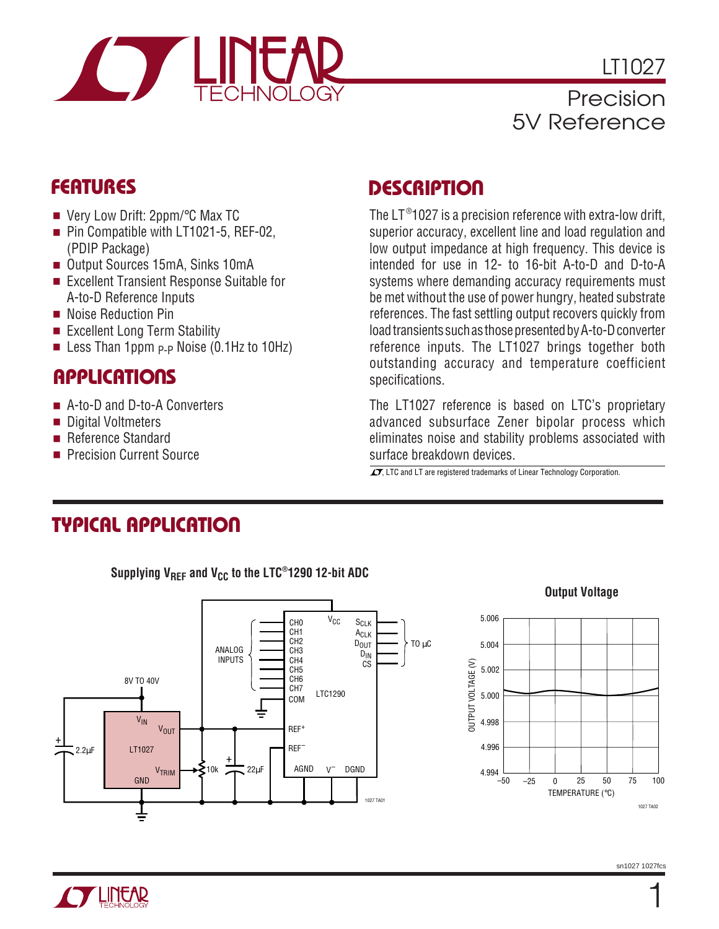

LT1027 Precision 5V Reference

- Very Low Drift: 2ppm/°C Max TC
- Pin Compatible with LT1021-5, REF-02, (PDIP Package)
- Output Sources 15mA, Sinks 10mA
- Excellent Transient Response Suitable for A-to-D Reference Inputs
- Noise Reduction Pin
- Excellent Long Term Stability
- Less Than 1ppm  $p$ -p Noise (0.1Hz to 10Hz)

### **APPLICATIONS**

- A-to-D and D-to-A Converters
- Digital Voltmeters
- Reference Standard
- Precision Current Source

### **FEATURES DESCRIPTIO <sup>U</sup>**

The LT®1027 is a precision reference with extra-low drift, superior accuracy, excellent line and load regulation and low output impedance at high frequency. This device is intended for use in 12- to 16-bit A-to-D and D-to-A systems where demanding accuracy requirements must be met without the use of power hungry, heated substrate references. The fast settling output recovers quickly from load transients such as those presented by A-to-D converter reference inputs. The LT1027 brings together both outstanding accuracy and temperature coefficient specifications.

The LT1027 reference is based on LTC's proprietary advanced subsurface Zener bipolar process which eliminates noise and stability problems associated with surface breakdown devices.

 $\overline{\mathcal{L}}$ , LTC and LT are registered trademarks of Linear Technology Corporation.

# **TYPICAL APPLICATION**

Supplying V<sub>REF</sub> and V<sub>CC</sub> to the LTC<sup>®</sup>1290 12-bit ADC



**Output Voltage**



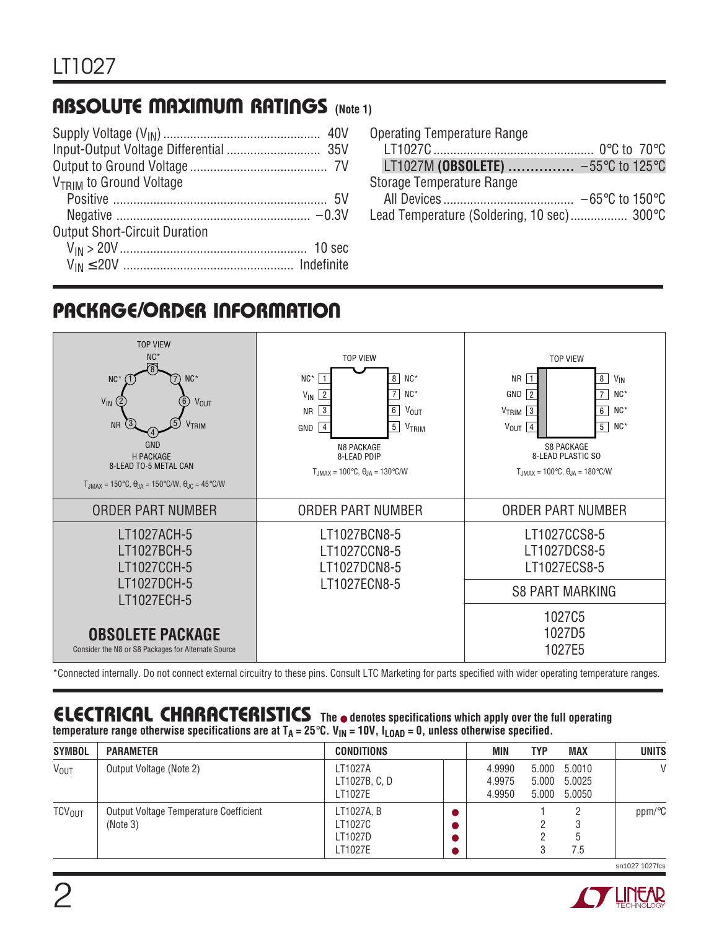# **ABSOLUTE MAXIMUM RATINGS (Note 1)**

| V <sub>TRIM</sub> to Ground Voltage  |  |
|--------------------------------------|--|
|                                      |  |
|                                      |  |
| <b>Output Short-Circuit Duration</b> |  |
|                                      |  |
|                                      |  |

| Operating Temperature Range                |  |
|--------------------------------------------|--|
|                                            |  |
| LT1027M (OBSOLETE)  -55°C to 125°C         |  |
| Storage Temperature Range                  |  |
|                                            |  |
| Lead Temperature (Soldering, 10 sec) 300°C |  |

# **PACKAGE/ORDER INFORMATION**



\*Connected internally. Do not connect external circuitry to these pins. Consult LTC Marketing for parts specified with wider operating temperature ranges.

#### **ELECTRICAL C C HARA TERISTICS The** ● **denotes specifications which apply over the full operating**  $t = 25$  and  $t = 12$  and  $t = 12$  and  $t = 21$  and  $t = 25$  and  $t = 100$ ,  $t_{\text{I}} = 10$ ,  $t_{\text{I}} = 10$ ,  $t_{\text{I}} = 0$ , unless otherwise specified.

| <b>SYMBOL</b>          | <b>PARAMETER</b>                                   | <b>CONDITIONS</b>                           | MIN                        | <b>TYP</b>     | <b>MAX</b>                       | <b>UNITS</b> |
|------------------------|----------------------------------------------------|---------------------------------------------|----------------------------|----------------|----------------------------------|--------------|
| <b>V<sub>OUT</sub></b> | Output Voltage (Note 2)                            | LT1027A<br>LT1027B, C, D<br>LT1027E         | 4.9990<br>4.9975<br>4.9950 | 5.000<br>5.000 | 5.000 5.0010<br>5.0025<br>5.0050 | V            |
| TCV <sub>OUT</sub>     | Output Voltage Temperature Coefficient<br>(Note 3) | LT1027A, B<br>LT1027C<br>LT1027D<br>LT1027E |                            |                | ხ<br>7.5                         | ppm/°C       |

sn1027 1027fcs

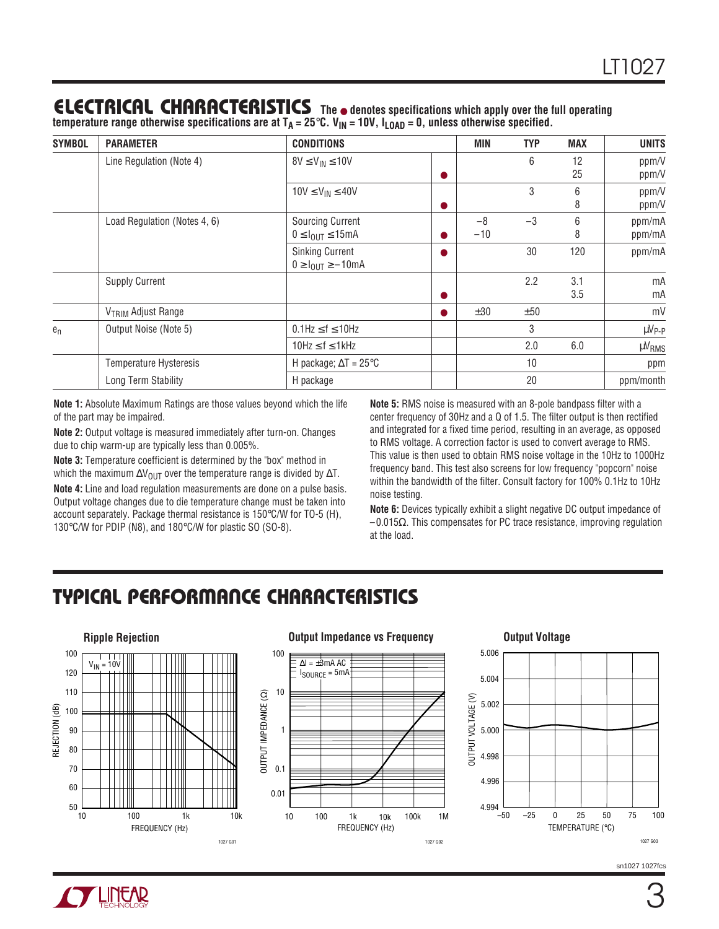### **ELECTRICAL C C HARA TERISTICS The** ● **denotes specifications which apply over the full operating**

temperature range otherwise specifications are at T<sub>A</sub> = 25°C. V<sub>IN</sub> = 10V, I<sub>LOAD</sub> = 0, unless otherwise specified.

| <b>SYMBOL</b> | <b>PARAMETER</b>               | <b>CONDITIONS</b>                                                    |           | MIN           | <b>TYP</b> | <b>MAX</b>     | <b>UNITS</b>      |
|---------------|--------------------------------|----------------------------------------------------------------------|-----------|---------------|------------|----------------|-------------------|
|               | Line Regulation (Note 4)       | $8V \leq V_{IN} \leq 10V$                                            |           | 6             | 12<br>25   | ppm/V<br>ppm/V |                   |
|               |                                | $10V \leq V_{IN} \leq 40V$                                           |           |               | 3          | 6<br>8         | ppm/V<br>ppm/V    |
|               | Load Regulation (Notes 4, 6)   | <b>Sourcing Current</b><br>$0 \leq I_{\text{OUT}} \leq 15 \text{mA}$ |           | $-8$<br>$-10$ | $-3$       | 6<br>8         | ppm/mA<br>ppm/mA  |
|               |                                | <b>Sinking Current</b><br>$0 \geq I_{OIII} \geq -10$ mA              |           |               | 30         | 120            | ppm/mA            |
|               | <b>Supply Current</b>          |                                                                      |           |               | 2.2        | 3.1<br>3.5     | mA<br>mA          |
|               | V <sub>TRIM</sub> Adjust Range |                                                                      | $\bullet$ | ±30           | ±50        |                | mV                |
| $e_n$         | Output Noise (Note 5)          | $0.1$ Hz $\leq$ f $\leq$ 10Hz                                        |           |               | 3          |                | µV <sub>P-P</sub> |
|               |                                | $10Hz \le f \le 1kHz$                                                |           |               | 2.0        | 6.0            | µV <sub>RMS</sub> |
|               | <b>Temperature Hysteresis</b>  | H package; $\Delta T = 25^{\circ}C$                                  |           |               | 10         |                | ppm               |
|               | Long Term Stability            | H package                                                            |           |               | 20         |                | ppm/month         |

**Note 1:** Absolute Maximum Ratings are those values beyond which the life of the part may be impaired.

**Note 2:** Output voltage is measured immediately after turn-on. Changes due to chip warm-up are typically less than 0.005%.

**Note 3:** Temperature coefficient is determined by the "box" method in which the maximum  $\Delta V_{\text{OUT}}$  over the temperature range is divided by  $\Delta T$ .

**Note 4:** Line and load regulation measurements are done on a pulse basis. Output voltage changes due to die temperature change must be taken into account separately. Package thermal resistance is 150°C/W for TO-5 (H), 130°C/W for PDIP (N8), and 180°C/W for plastic SO (SO-8).

**Note 5:** RMS noise is measured with an 8-pole bandpass filter with a center frequency of 30Hz and a Q of 1.5. The filter output is then rectified and integrated for a fixed time period, resulting in an average, as opposed to RMS voltage. A correction factor is used to convert average to RMS. This value is then used to obtain RMS noise voltage in the 10Hz to 1000Hz frequency band. This test also screens for low frequency "popcorn" noise within the bandwidth of the filter. Consult factory for 100% 0.1Hz to 10Hz noise testing.

**Note 6:** Devices typically exhibit a slight negative DC output impedance of –0.015Ω. This compensates for PC trace resistance, improving regulation at the load.

# **C C HARA TERISTICS U W TYPICAL PERFOR A CE**



#### **Output Impedance vs Frequency <b>Contage Output Voltage**

1027 G02





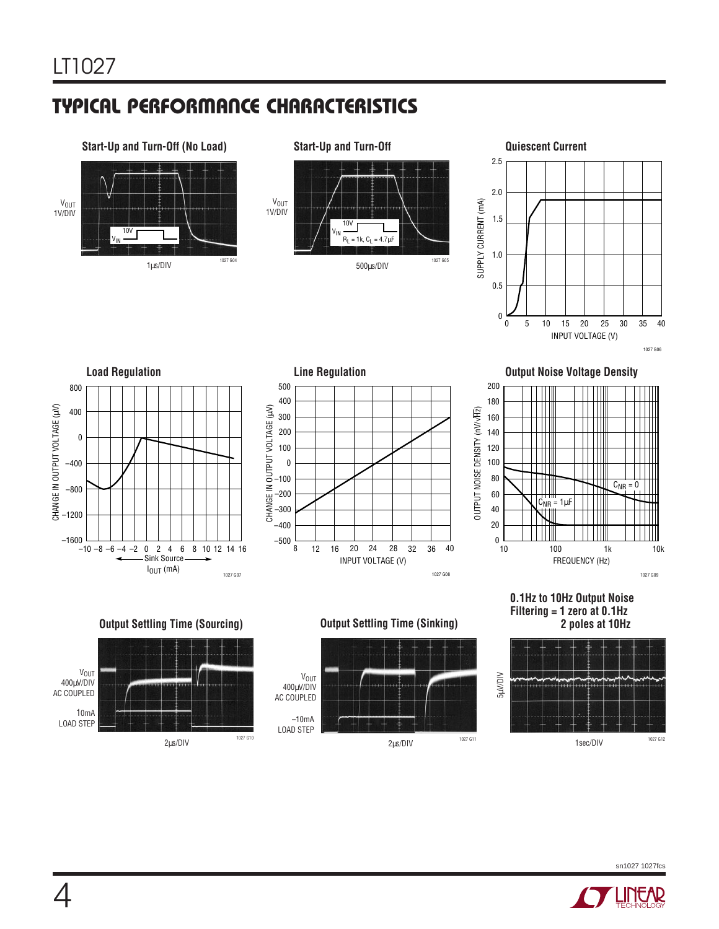# **C C HARA TERISTICS U W TYPICAL PERFOR A CE**

### 10V VIN **Start-Up and Turn-Off (No Load)** 1µs/DIV V<sub>OUT</sub> 1V/DIV 1027 G04

V<sub>OUT</sub><br>1V/DIV **Start-Up and Turn-Off** 10V VIN  $R_L = 1k$ ,  $C_L = 4.7 \mu F$ 

<sup>500</sup>µs/DIV 1027 G05





**Output Settling Time (Sourcing)**

<sup>2</sup>µs/DIV 1027 G10





**0.1Hz to 10Hz Output Noise Filtering = 1 zero at 0.1Hz 2 poles at 10Hz**



**Output Noise Voltage Density**









**V<sub>OUT</sub>** 400µV/DIV AC COUPLED

10mA LOAD STEP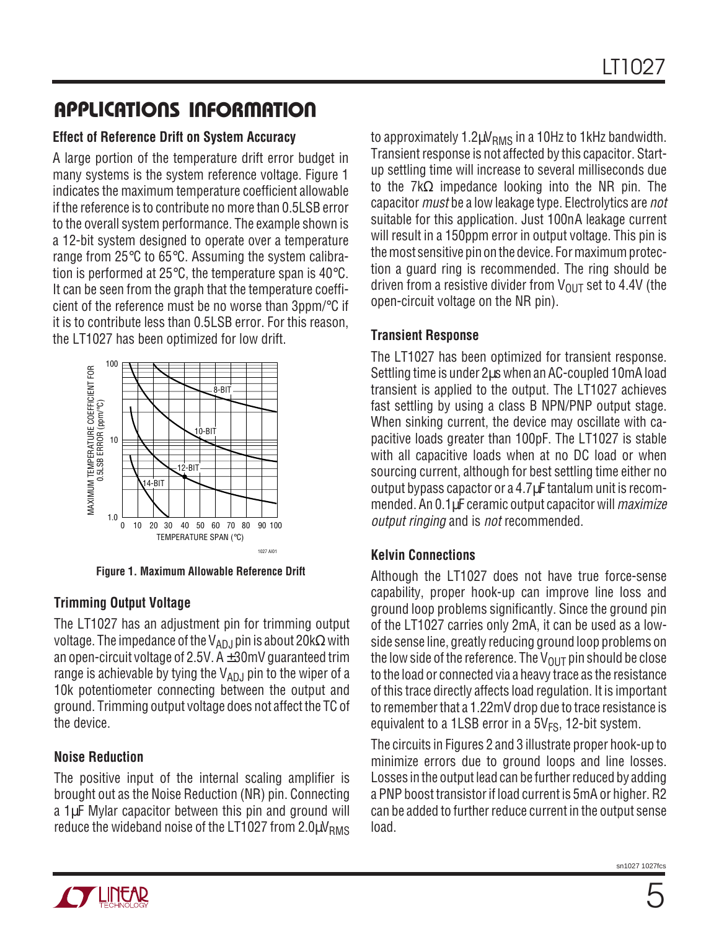# **U A S O PPLICATI W U U I FOR ATIO**

#### **Effect of Reference Drift on System Accuracy**

A large portion of the temperature drift error budget in many systems is the system reference voltage. Figure 1 indicates the maximum temperature coefficient allowable if the reference is to contribute no more than 0.5LSB error to the overall system performance. The example shown is a 12-bit system designed to operate over a temperature range from 25°C to 65°C. Assuming the system calibration is performed at 25 $\degree$ C, the temperature span is 40 $\degree$ C. It can be seen from the graph that the temperature coefficient of the reference must be no worse than 3ppm/°C if it is to contribute less than 0.5LSB error. For this reason, the LT1027 has been optimized for low drift.



**Figure 1. Maximum Allowable Reference Drift**

#### **Trimming Output Voltage**

The LT1027 has an adjustment pin for trimming output voltage. The impedance of the V<sub>ADJ</sub> pin is about 20k $\Omega$  with an open-circuit voltage of 2.5V.  $A \pm 30$ mV guaranteed trim range is achievable by tying the  $V_{AD,I}$  pin to the wiper of a 10k potentiometer connecting between the output and ground. Trimming output voltage does not affect the TC of the device.

#### **Noise Reduction**

The positive input of the internal scaling amplifier is brought out as the Noise Reduction (NR) pin. Connecting a 1µF Mylar capacitor between this pin and ground will reduce the wideband noise of the LT1027 from  $2.0 \mu V_{RMS}$ 

to approximately 1.2 $\mu$ V<sub>RMS</sub> in a 10Hz to 1kHz bandwidth. Transient response is not affected by this capacitor. Startup settling time will increase to several milliseconds due to the 7kΩ impedance looking into the NR pin. The capacitor *must* be a low leakage type. Electrolytics are *not* suitable for this application. Just 100nA leakage current will result in a 150ppm error in output voltage. This pin is the most sensitive pin on the device. For maximum protection a guard ring is recommended. The ring should be driven from a resistive divider from  $V_{\text{OUT}}$  set to 4.4V (the open-circuit voltage on the NR pin).

#### **Transient Response**

The LT1027 has been optimized for transient response. Settling time is under 2µs when an AC-coupled 10mA load transient is applied to the output. The LT1027 achieves fast settling by using a class B NPN/PNP output stage. When sinking current, the device may oscillate with capacitive loads greater than 100pF. The LT1027 is stable with all capacitive loads when at no DC load or when sourcing current, although for best settling time either no output bypass capactor or a 4.7µF tantalum unit is recommended. An 0.1µF ceramic output capacitor will *maximize* output ringing and is not recommended.

#### **Kelvin Connections**

Although the LT1027 does not have true force-sense capability, proper hook-up can improve line loss and ground loop problems significantly. Since the ground pin of the LT1027 carries only 2mA, it can be used as a lowside sense line, greatly reducing ground loop problems on the low side of the reference. The  $V_{OUT}$  pin should be close to the load or connected via a heavy trace as the resistance of this trace directly affects load regulation. It is important to remember that a 1.22mV drop due to trace resistance is equivalent to a 1LSB error in a  $5V_{FS}$ , 12-bit system.

The circuits in Figures 2 and 3 illustrate proper hook-up to minimize errors due to ground loops and line losses. Losses in the output lead can be further reduced by adding a PNP boost transistor if load current is 5mA or higher. R2 can be added to further reduce current in the output sense load.

sn1027 1027fc

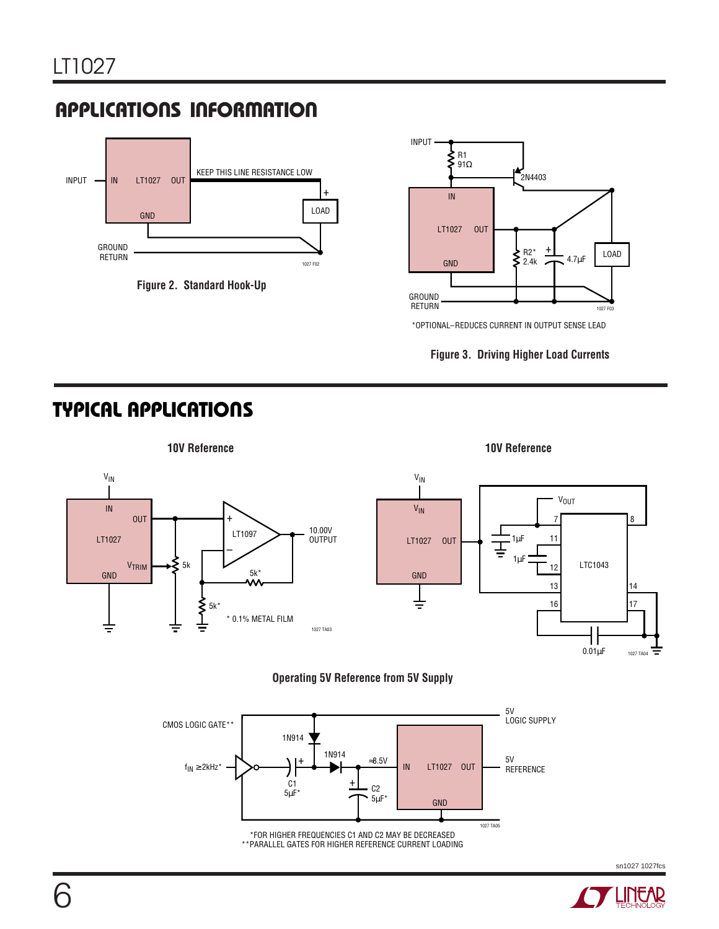# **APPLICATIONS INFORMATION**



**Figure 2. Standard Hook-Up**



\*OPTIONAL–REDUCES CURRENT IN OUTPUT SENSE LEAD



### **TYPICAL APPLICATIONS U**







sn1027 1027fcs

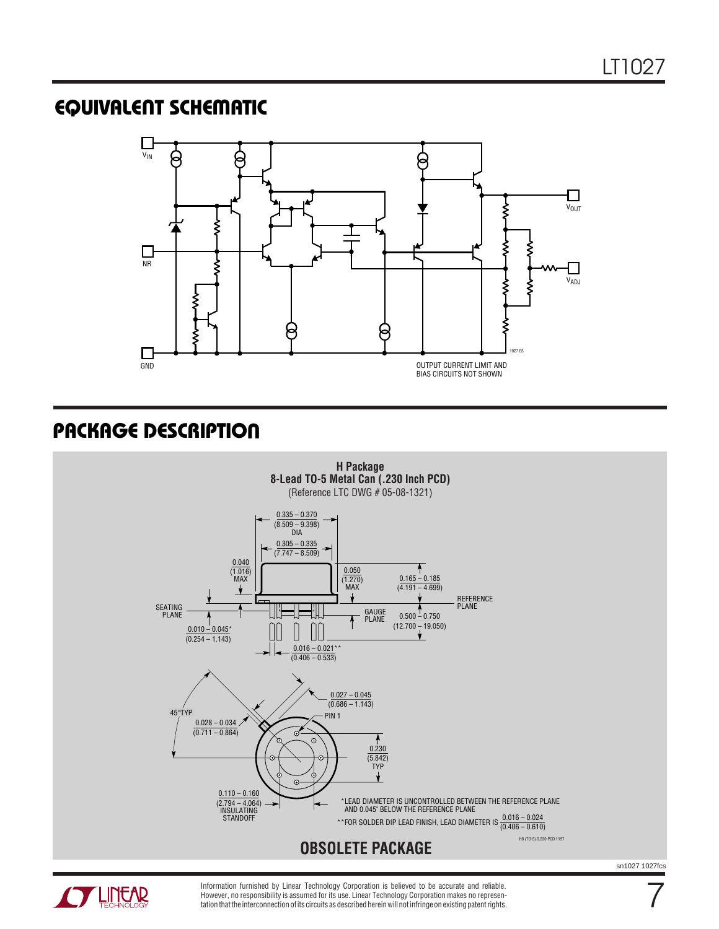### **EQUIVALENT SCHEMATIC**



### **PACKAGE DESCRIPTION**





Information furnished by Linear Technology Corporation is believed to be accurate and reliable. However, no responsibility is assumed for its use. Linear Technology Corporation makes no representation that the interconnection of its circuits as described herein will not infringe on existing patent rights. sn1027 1027fcs

7